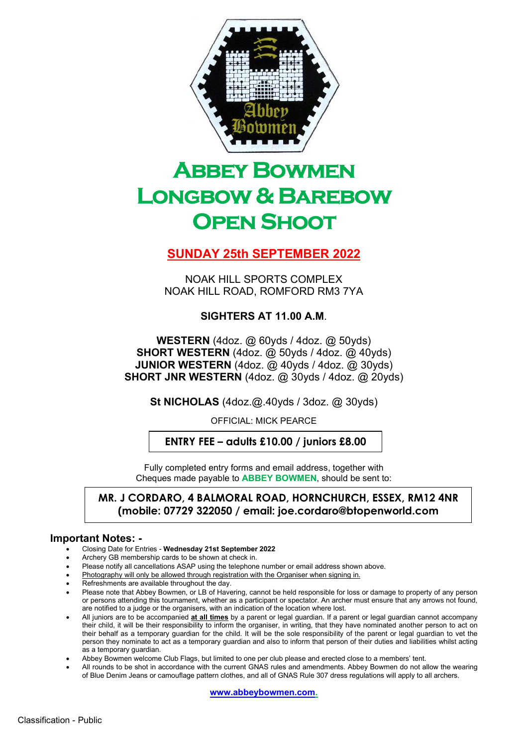

# **ABBEY BOWMEN** Longbow & Barebow **OPEN SHOOT**

## SUNDAY 25th SEPTEMBER 2022

NOAK HILL SPORTS COMPLEX NOAK HILL ROAD, ROMFORD RM3 7YA

### SIGHTERS AT 11.00 A.M.

WESTERN (4doz. @ 60yds / 4doz. @ 50yds) SHORT WESTERN (4doz. @ 50yds / 4doz. @ 40yds) JUNIOR WESTERN (4doz. @ 40yds / 4doz. @ 30yds) SHORT JNR WESTERN (4doz. @ 30yds / 4doz. @ 20yds)

St NICHOLAS (4doz.@.40yds / 3doz. @ 30yds)

OFFICIAL: MICK PEARCE

ENTRY FEE – adults £10.00 / juniors £8.00

Fully completed entry forms and email address, together with Cheques made payable to ABBEY BOWMEN, should be sent to:

#### MR. J CORDARO, 4 BALMORAL ROAD, HORNCHURCH, ESSEX, RM12 4NR (mobile: 07729 322050 / email: joe.cordaro@btopenworld.com

#### Important Notes: -

- Closing Date for Entries Wednesday 21st September 2022
- Archery GB membership cards to be shown at check in.
- Please notify all cancellations ASAP using the telephone number or email address shown above.
- Photography will only be allowed through registration with the Organiser when signing in.
- Refreshments are available throughout the day.
- Please note that Abbey Bowmen, or LB of Havering, cannot be held responsible for loss or damage to property of any person or persons attending this tournament, whether as a participant or spectator. An archer must ensure that any arrows not found, are notified to a judge or the organisers, with an indication of the location where lost.
- All juniors are to be accompanied at all times by a parent or legal guardian. If a parent or legal guardian cannot accompany their child, it will be their responsibility to inform the organiser, in writing, that they have nominated another person to act on their behalf as a temporary guardian for the child. It will be the sole responsibility of the parent or legal guardian to vet the person they nominate to act as a temporary guardian and also to inform that person of their duties and liabilities whilst acting as a temporary guardian.
- Abbey Bowmen welcome Club Flags, but limited to one per club please and erected close to a members' tent.
- All rounds to be shot in accordance with the current GNAS rules and amendments. Abbey Bowmen do not allow the wearing of Blue Denim Jeans or camouflage pattern clothes, and all of GNAS Rule 307 dress regulations will apply to all archers.

www.abbeybowmen.com.